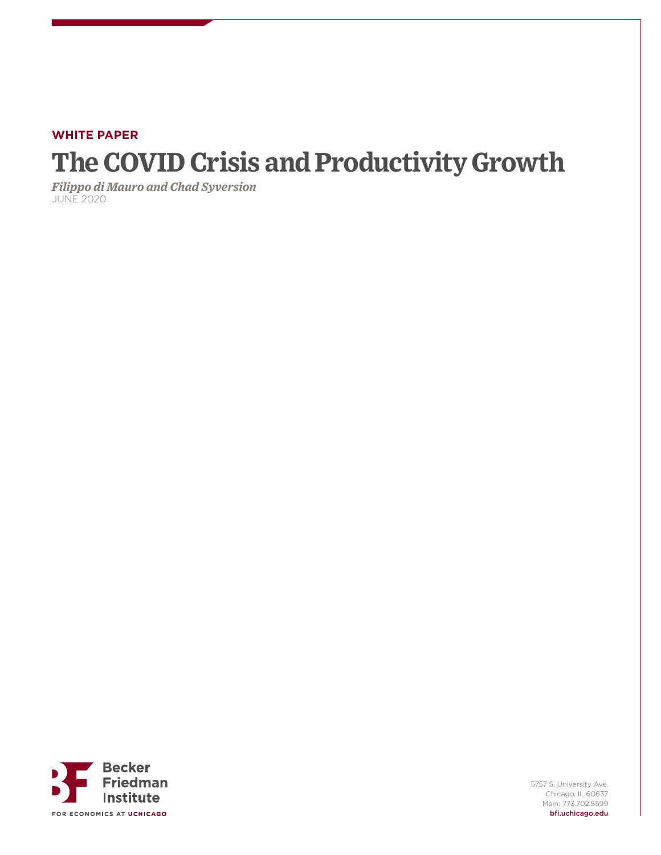# **WHITE PAPER The COVID Crisis and Productivity Growth**

*Filippo di Mauro and Chad Syversion* JUNE 2020



5757 S. University Ave. Chicago, IL 60637 Main: 773.702.5599 bfi.uchicago.edu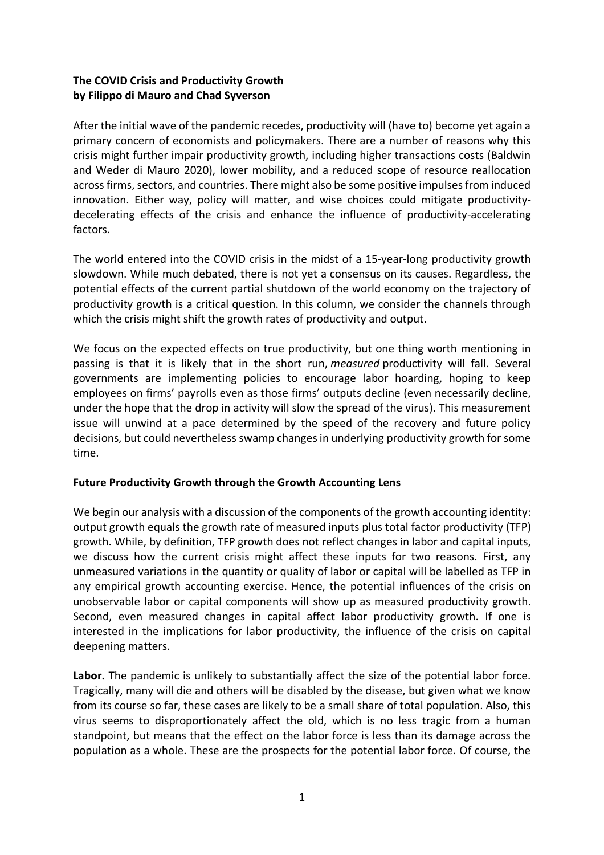# **The COVID Crisis and Productivity Growth by Filippo di Mauro and Chad Syverson**

After the initial wave of the pandemic recedes, productivity will (have to) become yet again a primary concern of economists and policymakers. There are a number of reasons why this crisis might further impair productivity growth, including higher transactions costs (Baldwin and Weder di Mauro 2020), lower mobility, and a reduced scope of resource reallocation across firms, sectors, and countries. There might also be some positive impulses from induced innovation. Either way, policy will matter, and wise choices could mitigate productivitydecelerating effects of the crisis and enhance the influence of productivity-accelerating factors.

The world entered into the COVID crisis in the midst of a 15-year-long productivity growth slowdown. While much debated, there is not yet a consensus on its causes. Regardless, the potential effects of the current partial shutdown of the world economy on the trajectory of productivity growth is a critical question. In this column, we consider the channels through which the crisis might shift the growth rates of productivity and output.

We focus on the expected effects on true productivity, but one thing worth mentioning in passing is that it is likely that in the short run, *measured* productivity will fall. Several governments are implementing policies to encourage labor hoarding, hoping to keep employees on firms' payrolls even as those firms' outputs decline (even necessarily decline, under the hope that the drop in activity will slow the spread of the virus). This measurement issue will unwind at a pace determined by the speed of the recovery and future policy decisions, but could nevertheless swamp changes in underlying productivity growth forsome time.

## **Future Productivity Growth through the Growth Accounting Lens**

We begin our analysis with a discussion of the components of the growth accounting identity: output growth equals the growth rate of measured inputs plus total factor productivity (TFP) growth. While, by definition, TFP growth does not reflect changes in labor and capital inputs, we discuss how the current crisis might affect these inputs for two reasons. First, any unmeasured variations in the quantity or quality of labor or capital will be labelled as TFP in any empirical growth accounting exercise. Hence, the potential influences of the crisis on unobservable labor or capital components will show up as measured productivity growth. Second, even measured changes in capital affect labor productivity growth. If one is interested in the implications for labor productivity, the influence of the crisis on capital deepening matters.

**Labor.** The pandemic is unlikely to substantially affect the size of the potential labor force. Tragically, many will die and others will be disabled by the disease, but given what we know from its course so far, these cases are likely to be a small share of total population. Also, this virus seems to disproportionately affect the old, which is no less tragic from a human standpoint, but means that the effect on the labor force is less than its damage across the population as a whole. These are the prospects for the potential labor force. Of course, the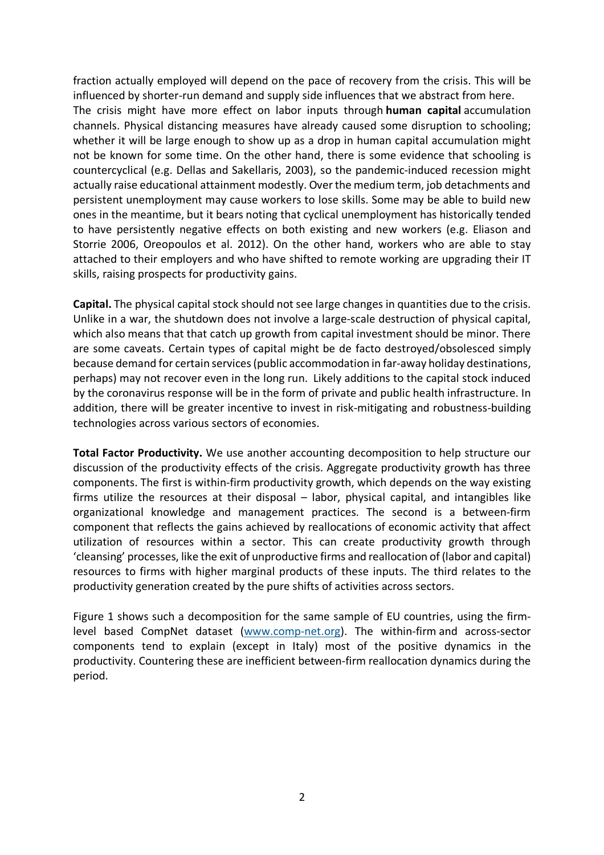fraction actually employed will depend on the pace of recovery from the crisis. This will be influenced by shorter-run demand and supply side influences that we abstract from here. The crisis might have more effect on labor inputs through **human capital** accumulation channels. Physical distancing measures have already caused some disruption to schooling; whether it will be large enough to show up as a drop in human capital accumulation might not be known for some time. On the other hand, there is some evidence that schooling is countercyclical (e.g. Dellas and Sakellaris, 2003), so the pandemic-induced recession might actually raise educational attainment modestly. Over the medium term, job detachments and persistent unemployment may cause workers to lose skills. Some may be able to build new ones in the meantime, but it bears noting that cyclical unemployment has historically tended to have persistently negative effects on both existing and new workers (e.g. Eliason and Storrie 2006, Oreopoulos et al. 2012). On the other hand, workers who are able to stay attached to their employers and who have shifted to remote working are upgrading their IT skills, raising prospects for productivity gains.

**Capital.** The physical capital stock should not see large changes in quantities due to the crisis. Unlike in a war, the shutdown does not involve a large-scale destruction of physical capital, which also means that that catch up growth from capital investment should be minor. There are some caveats. Certain types of capital might be de facto destroyed/obsolesced simply because demand for certain services (public accommodation in far-away holiday destinations, perhaps) may not recover even in the long run. Likely additions to the capital stock induced by the coronavirus response will be in the form of private and public health infrastructure. In addition, there will be greater incentive to invest in risk-mitigating and robustness-building technologies across various sectors of economies.

**Total Factor Productivity.** We use another accounting decomposition to help structure our discussion of the productivity effects of the crisis. Aggregate productivity growth has three components. The first is within-firm productivity growth, which depends on the way existing firms utilize the resources at their disposal – labor, physical capital, and intangibles like organizational knowledge and management practices. The second is a between-firm component that reflects the gains achieved by reallocations of economic activity that affect utilization of resources within a sector. This can create productivity growth through 'cleansing' processes, like the exit of unproductive firms and reallocation of (labor and capital) resources to firms with higher marginal products of these inputs. The third relates to the productivity generation created by the pure shifts of activities across sectors.

Figure 1 shows such a decomposition for the same sample of EU countries, using the firmlevel based CompNet dataset (www.comp-net.org). The within-firm and across-sector components tend to explain (except in Italy) most of the positive dynamics in the productivity. Countering these are inefficient between-firm reallocation dynamics during the period.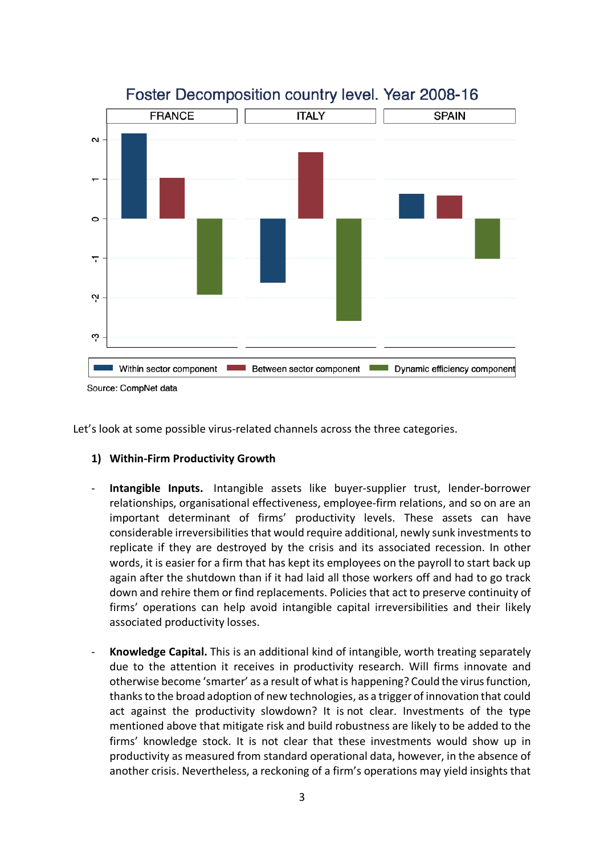

Let's look at some possible virus-related channels across the three categories.

## **1) Within-Firm Productivity Growth**

- **Intangible Inputs.** Intangible assets like buyer-supplier trust, lender-borrower relationships, organisational effectiveness, employee-firm relations, and so on are an important determinant of firms' productivity levels. These assets can have considerable irreversibilities that would require additional, newly sunk investments to replicate if they are destroyed by the crisis and its associated recession. In other words, it is easier for a firm that has kept its employees on the payroll to start back up again after the shutdown than if it had laid all those workers off and had to go track down and rehire them or find replacements. Policies that act to preserve continuity of firms' operations can help avoid intangible capital irreversibilities and their likely associated productivity losses.
- **Knowledge Capital.** This is an additional kind of intangible, worth treating separately due to the attention it receives in productivity research. Will firms innovate and otherwise become 'smarter' as a result of what is happening? Could the virus function, thanks to the broad adoption of new technologies, as a trigger of innovation that could act against the productivity slowdown? It is not clear. Investments of the type mentioned above that mitigate risk and build robustness are likely to be added to the firms' knowledge stock. It is not clear that these investments would show up in productivity as measured from standard operational data, however, in the absence of another crisis. Nevertheless, a reckoning of a firm's operations may yield insights that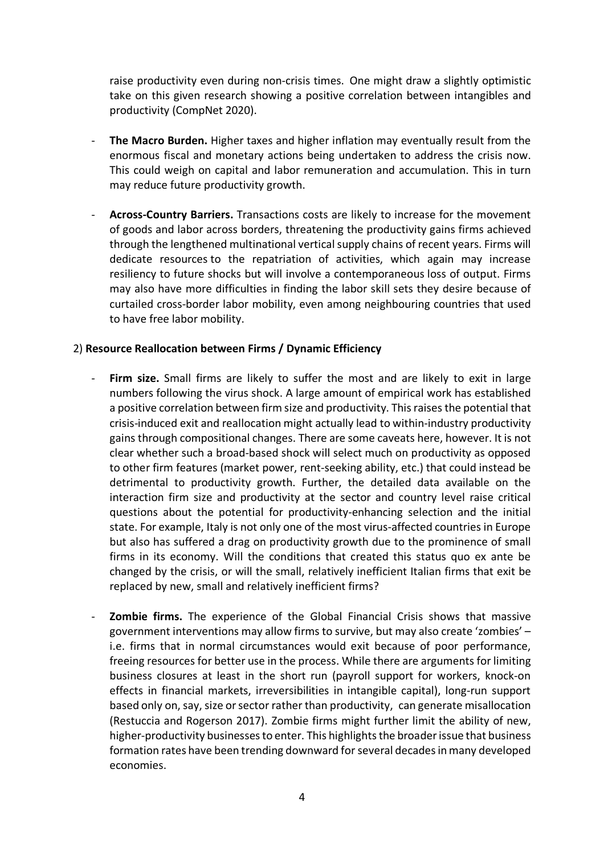raise productivity even during non-crisis times. One might draw a slightly optimistic take on this given research showing a positive correlation between intangibles and productivity (CompNet 2020).

- **The Macro Burden.** Higher taxes and higher inflation may eventually result from the enormous fiscal and monetary actions being undertaken to address the crisis now. This could weigh on capital and labor remuneration and accumulation. This in turn may reduce future productivity growth.
- **Across-Country Barriers.** Transactions costs are likely to increase for the movement of goods and labor across borders, threatening the productivity gains firms achieved through the lengthened multinational vertical supply chains of recent years. Firms will dedicate resources to the repatriation of activities, which again may increase resiliency to future shocks but will involve a contemporaneous loss of output. Firms may also have more difficulties in finding the labor skill sets they desire because of curtailed cross-border labor mobility, even among neighbouring countries that used to have free labor mobility.

## 2) **Resource Reallocation between Firms / Dynamic Efficiency**

- **Firm size.** Small firms are likely to suffer the most and are likely to exit in large numbers following the virus shock. A large amount of empirical work has established a positive correlation between firm size and productivity. This raises the potential that crisis-induced exit and reallocation might actually lead to within-industry productivity gains through compositional changes. There are some caveats here, however. It is not clear whether such a broad-based shock will select much on productivity as opposed to other firm features (market power, rent-seeking ability, etc.) that could instead be detrimental to productivity growth. Further, the detailed data available on the interaction firm size and productivity at the sector and country level raise critical questions about the potential for productivity-enhancing selection and the initial state. For example, Italy is not only one of the most virus-affected countries in Europe but also has suffered a drag on productivity growth due to the prominence of small firms in its economy. Will the conditions that created this status quo ex ante be changed by the crisis, or will the small, relatively inefficient Italian firms that exit be replaced by new, small and relatively inefficient firms?
- **Zombie firms.** The experience of the Global Financial Crisis shows that massive government interventions may allow firms to survive, but may also create 'zombies' – i.e. firms that in normal circumstances would exit because of poor performance, freeing resources for better use in the process. While there are arguments for limiting business closures at least in the short run (payroll support for workers, knock-on effects in financial markets, irreversibilities in intangible capital), long-run support based only on, say, size or sector rather than productivity, can generate misallocation (Restuccia and Rogerson 2017). Zombie firms might further limit the ability of new, higher-productivity businesses to enter. This highlights the broader issue that business formation rates have been trending downward for several decades in many developed economies.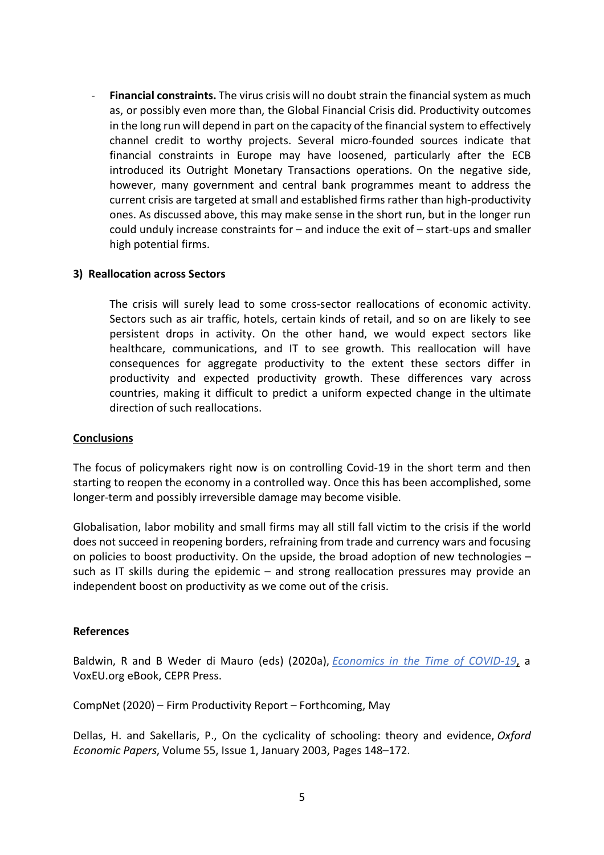- **Financial constraints.** The virus crisis will no doubt strain the financial system as much as, or possibly even more than, the Global Financial Crisis did. Productivity outcomes in the long run will depend in part on the capacity of the financial system to effectively channel credit to worthy projects. Several micro-founded sources indicate that financial constraints in Europe may have loosened, particularly after the ECB introduced its Outright Monetary Transactions operations. On the negative side, however, many government and central bank programmes meant to address the current crisis are targeted at small and established firms rather than high-productivity ones. As discussed above, this may make sense in the short run, but in the longer run could unduly increase constraints for – and induce the exit of – start-ups and smaller high potential firms.

## **3) Reallocation across Sectors**

The crisis will surely lead to some cross-sector reallocations of economic activity. Sectors such as air traffic, hotels, certain kinds of retail, and so on are likely to see persistent drops in activity. On the other hand, we would expect sectors like healthcare, communications, and IT to see growth. This reallocation will have consequences for aggregate productivity to the extent these sectors differ in productivity and expected productivity growth. These differences vary across countries, making it difficult to predict a uniform expected change in the ultimate direction of such reallocations.

#### **Conclusions**

The focus of policymakers right now is on controlling Covid-19 in the short term and then starting to reopen the economy in a controlled way. Once this has been accomplished, some longer-term and possibly irreversible damage may become visible.

Globalisation, labor mobility and small firms may all still fall victim to the crisis if the world does not succeed in reopening borders, refraining from trade and currency wars and focusing on policies to boost productivity. On the upside, the broad adoption of new technologies – such as IT skills during the epidemic – and strong reallocation pressures may provide an independent boost on productivity as we come out of the crisis.

#### **References**

Baldwin, R and B Weder di Mauro (eds) (2020a), *Economics in the Time of COVID-19*, a VoxEU.org eBook, CEPR Press.

CompNet (2020) – Firm Productivity Report – Forthcoming, May

Dellas, H. and Sakellaris, P., On the cyclicality of schooling: theory and evidence, *Oxford Economic Papers*, Volume 55, Issue 1, January 2003, Pages 148–172.